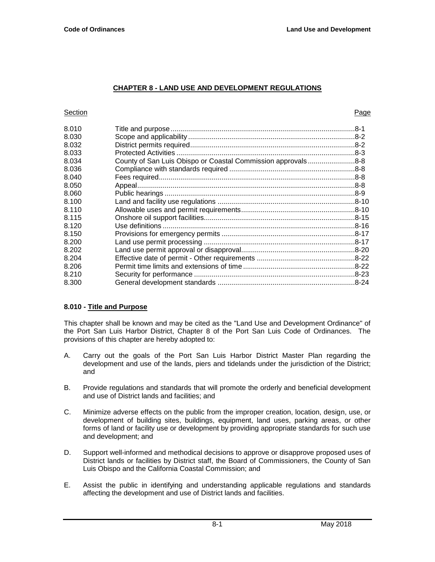# **CHAPTER 8 - LAND USE AND DEVELOPMENT REGULATIONS**

# **Section Page 2012 12:30 Page 2013**

| 8.010 |                                                              |  |
|-------|--------------------------------------------------------------|--|
| 8.030 |                                                              |  |
| 8.032 |                                                              |  |
| 8.033 |                                                              |  |
| 8.034 | County of San Luis Obispo or Coastal Commission approvals8-8 |  |
| 8.036 |                                                              |  |
| 8.040 |                                                              |  |
| 8.050 |                                                              |  |
| 8.060 |                                                              |  |
| 8.100 |                                                              |  |
| 8.110 |                                                              |  |
| 8.115 |                                                              |  |
| 8.120 |                                                              |  |
| 8.150 |                                                              |  |
| 8.200 |                                                              |  |
| 8.202 |                                                              |  |
| 8.204 |                                                              |  |
| 8.206 |                                                              |  |
| 8.210 |                                                              |  |
| 8.300 |                                                              |  |
|       |                                                              |  |

# **8.010 - Title and Purpose**

This chapter shall be known and may be cited as the "Land Use and Development Ordinance" of the Port San Luis Harbor District, Chapter 8 of the Port San Luis Code of Ordinances. The provisions of this chapter are hereby adopted to:

- A. Carry out the goals of the Port San Luis Harbor District Master Plan regarding the development and use of the lands, piers and tidelands under the jurisdiction of the District; and
- B. Provide regulations and standards that will promote the orderly and beneficial development and use of District lands and facilities; and
- C. Minimize adverse effects on the public from the improper creation, location, design, use, or development of building sites, buildings, equipment, land uses, parking areas, or other forms of land or facility use or development by providing appropriate standards for such use and development; and
- D. Support well-informed and methodical decisions to approve or disapprove proposed uses of District lands or facilities by District staff, the Board of Commissioners, the County of San Luis Obispo and the California Coastal Commission; and
- E. Assist the public in identifying and understanding applicable regulations and standards affecting the development and use of District lands and facilities.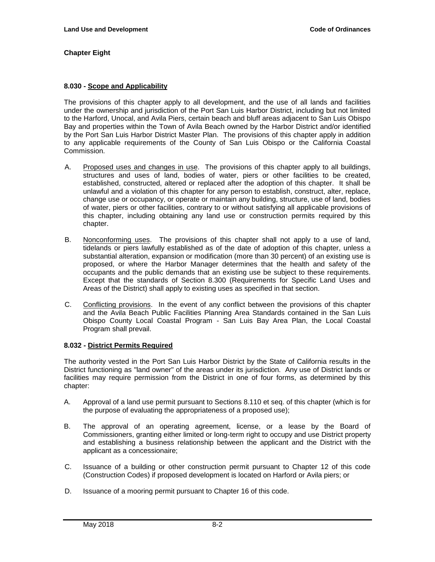# **8.030 - Scope and Applicability**

The provisions of this chapter apply to all development, and the use of all lands and facilities under the ownership and jurisdiction of the Port San Luis Harbor District, including but not limited to the Harford, Unocal, and Avila Piers, certain beach and bluff areas adjacent to San Luis Obispo Bay and properties within the Town of Avila Beach owned by the Harbor District and/or identified by the Port San Luis Harbor District Master Plan. The provisions of this chapter apply in addition to any applicable requirements of the County of San Luis Obispo or the California Coastal Commission.

- A. Proposed uses and changes in use. The provisions of this chapter apply to all buildings, structures and uses of land, bodies of water, piers or other facilities to be created, established, constructed, altered or replaced after the adoption of this chapter. It shall be unlawful and a violation of this chapter for any person to establish, construct, alter, replace, change use or occupancy, or operate or maintain any building, structure, use of land, bodies of water, piers or other facilities, contrary to or without satisfying all applicable provisions of this chapter, including obtaining any land use or construction permits required by this chapter.
- B. Nonconforming uses. The provisions of this chapter shall not apply to a use of land, tidelands or piers lawfully established as of the date of adoption of this chapter, unless a substantial alteration, expansion or modification (more than 30 percent) of an existing use is proposed, or where the Harbor Manager determines that the health and safety of the occupants and the public demands that an existing use be subject to these requirements. Except that the standards of Section 8.300 (Requirements for Specific Land Uses and Areas of the District) shall apply to existing uses as specified in that section.
- C. Conflicting provisions. In the event of any conflict between the provisions of this chapter and the Avila Beach Public Facilities Planning Area Standards contained in the San Luis Obispo County Local Coastal Program - San Luis Bay Area Plan, the Local Coastal Program shall prevail.

# **8.032 - District Permits Required**

The authority vested in the Port San Luis Harbor District by the State of California results in the District functioning as "land owner" of the areas under its jurisdiction. Any use of District lands or facilities may require permission from the District in one of four forms, as determined by this chapter:

- A. Approval of a land use permit pursuant to Sections 8.110 et seq. of this chapter (which is for the purpose of evaluating the appropriateness of a proposed use);
- B. The approval of an operating agreement, license, or a lease by the Board of Commissioners, granting either limited or long-term right to occupy and use District property and establishing a business relationship between the applicant and the District with the applicant as a concessionaire;
- C. Issuance of a building or other construction permit pursuant to Chapter 12 of this code (Construction Codes) if proposed development is located on Harford or Avila piers; or
- D. Issuance of a mooring permit pursuant to Chapter 16 of this code.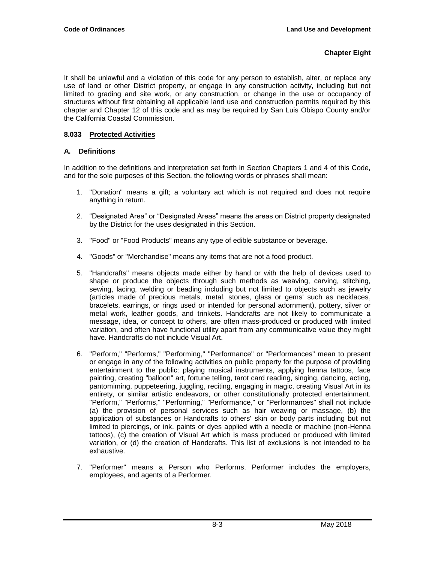It shall be unlawful and a violation of this code for any person to establish, alter, or replace any use of land or other District property, or engage in any construction activity, including but not limited to grading and site work, or any construction, or change in the use or occupancy of structures without first obtaining all applicable land use and construction permits required by this chapter and Chapter 12 of this code and as may be required by San Luis Obispo County and/or the California Coastal Commission.

# **8.033 Protected Activities**

# **A. Definitions**

In addition to the definitions and interpretation set forth in Section Chapters 1 and 4 of this Code, and for the sole purposes of this Section, the following words or phrases shall mean:

- 1. "Donation" means a gift; a voluntary act which is not required and does not require anything in return.
- 2. "Designated Area" or "Designated Areas" means the areas on District property designated by the District for the uses designated in this Section.
- 3. "Food" or "Food Products" means any type of edible substance or beverage.
- 4. "Goods" or "Merchandise" means any items that are not a food product.
- 5. "Handcrafts" means objects made either by hand or with the help of devices used to shape or produce the objects through such methods as weaving, carving, stitching, sewing, lacing, welding or beading including but not limited to objects such as jewelry (articles made of precious metals, metal, stones, glass or gems' such as necklaces, bracelets, earrings, or rings used or intended for personal adornment), pottery, silver or metal work, leather goods, and trinkets. Handcrafts are not likely to communicate a message, idea, or concept to others, are often mass-produced or produced with limited variation, and often have functional utility apart from any communicative value they might have. Handcrafts do not include Visual Art.
- 6. "Perform," "Performs," "Performing," "Performance" or "Performances" mean to present or engage in any of the following activities on public property for the purpose of providing entertainment to the public: playing musical instruments, applying henna tattoos, face painting, creating "balloon" art, fortune telling, tarot card reading, singing, dancing, acting, pantomiming, puppeteering, juggling, reciting, engaging in magic, creating Visual Art in its entirety, or similar artistic endeavors, or other constitutionally protected entertainment. "Perform," "Performs," "Performing," "Performance," or "Performances" shall not include (a) the provision of personal services such as hair weaving or massage, (b) the application of substances or Handcrafts to others' skin or body parts including but not limited to piercings, or ink, paints or dyes applied with a needle or machine (non-Henna tattoos), (c) the creation of Visual Art which is mass produced or produced with limited variation, or (d) the creation of Handcrafts. This list of exclusions is not intended to be exhaustive.
- 7. "Performer" means a Person who Performs. Performer includes the employers, employees, and agents of a Performer.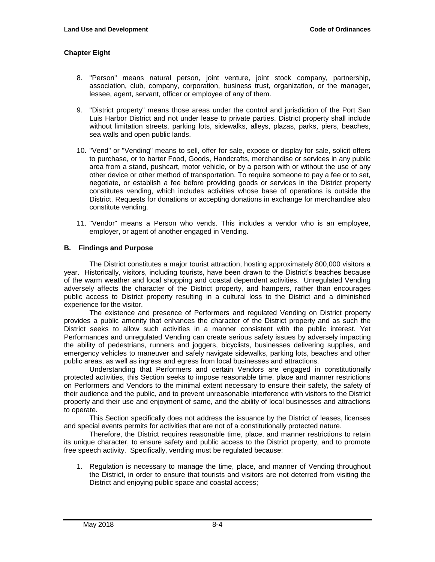- 8. "Person" means natural person, joint venture, joint stock company, partnership, association, club, company, corporation, business trust, organization, or the manager, lessee, agent, servant, officer or employee of any of them.
- 9. "District property" means those areas under the control and jurisdiction of the Port San Luis Harbor District and not under lease to private parties. District property shall include without limitation streets, parking lots, sidewalks, alleys, plazas, parks, piers, beaches, sea walls and open public lands.
- 10. "Vend" or "Vending" means to sell, offer for sale, expose or display for sale, solicit offers to purchase, or to barter Food, Goods, Handcrafts, merchandise or services in any public area from a stand, pushcart, motor vehicle, or by a person with or without the use of any other device or other method of transportation. To require someone to pay a fee or to set, negotiate, or establish a fee before providing goods or services in the District property constitutes vending, which includes activities whose base of operations is outside the District. Requests for donations or accepting donations in exchange for merchandise also constitute vending.
- 11. "Vendor" means a Person who vends. This includes a vendor who is an employee, employer, or agent of another engaged in Vending.

# **B. Findings and Purpose**

The District constitutes a major tourist attraction, hosting approximately 800,000 visitors a year. Historically, visitors, including tourists, have been drawn to the District's beaches because of the warm weather and local shopping and coastal dependent activities. Unregulated Vending adversely affects the character of the District property, and hampers, rather than encourages public access to District property resulting in a cultural loss to the District and a diminished experience for the visitor.

The existence and presence of Performers and regulated Vending on District property provides a public amenity that enhances the character of the District property and as such the District seeks to allow such activities in a manner consistent with the public interest. Yet Performances and unregulated Vending can create serious safety issues by adversely impacting the ability of pedestrians, runners and joggers, bicyclists, businesses delivering supplies, and emergency vehicles to maneuver and safely navigate sidewalks, parking lots, beaches and other public areas, as well as ingress and egress from local businesses and attractions.

Understanding that Performers and certain Vendors are engaged in constitutionally protected activities, this Section seeks to impose reasonable time, place and manner restrictions on Performers and Vendors to the minimal extent necessary to ensure their safety, the safety of their audience and the public, and to prevent unreasonable interference with visitors to the District property and their use and enjoyment of same, and the ability of local businesses and attractions to operate.

This Section specifically does not address the issuance by the District of leases, licenses and special events permits for activities that are not of a constitutionally protected nature.

Therefore, the District requires reasonable time, place, and manner restrictions to retain its unique character, to ensure safety and public access to the District property, and to promote free speech activity. Specifically, vending must be regulated because:

1. Regulation is necessary to manage the time, place, and manner of Vending throughout the District, in order to ensure that tourists and visitors are not deterred from visiting the District and enjoying public space and coastal access;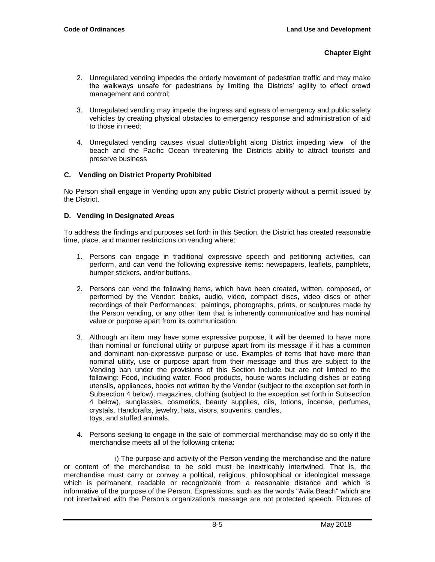- 2. Unregulated vending impedes the orderly movement of pedestrian traffic and may make the walkways unsafe for pedestrians by limiting the Districts' agility to effect crowd management and control;
- 3. Unregulated vending may impede the ingress and egress of emergency and public safety vehicles by creating physical obstacles to emergency response and administration of aid to those in need;
- 4. Unregulated vending causes visual clutter/blight along District impeding view of the beach and the Pacific Ocean threatening the Districts ability to attract tourists and preserve business

# **C. Vending on District Property Prohibited**

No Person shall engage in Vending upon any public District property without a permit issued by the District.

# **D. Vending in Designated Areas**

To address the findings and purposes set forth in this Section, the District has created reasonable time, place, and manner restrictions on vending where:

- 1. Persons can engage in traditional expressive speech and petitioning activities, can perform, and can vend the following expressive items: newspapers, leaflets, pamphlets, bumper stickers, and/or buttons.
- 2. Persons can vend the following items, which have been created, written, composed, or performed by the Vendor: books, audio, video, compact discs, video discs or other recordings of their Performances; paintings, photographs, prints, or sculptures made by the Person vending, or any other item that is inherently communicative and has nominal value or purpose apart from its communication.
- 3. Although an item may have some expressive purpose, it will be deemed to have more than nominal or functional utility or purpose apart from its message if it has a common and dominant non-expressive purpose or use. Examples of items that have more than nominal utility, use or purpose apart from their message and thus are subject to the Vending ban under the provisions of this Section include but are not limited to the following: Food, including water, Food products, house wares including dishes or eating utensils, appliances, books not written by the Vendor (subject to the exception set forth in Subsection 4 below), magazines, clothing (subject to the exception set forth in Subsection 4 below), sunglasses, cosmetics, beauty supplies, oils, lotions, incense, perfumes, crystals, Handcrafts, jewelry, hats, visors, souvenirs, candles, toys, and stuffed animals.
- 4. Persons seeking to engage in the sale of commercial merchandise may do so only if the merchandise meets all of the following criteria:

i) The purpose and activity of the Person vending the merchandise and the nature or content of the merchandise to be sold must be inextricably intertwined. That is, the merchandise must carry or convey a political, religious, philosophical or ideological message which is permanent, readable or recognizable from a reasonable distance and which is informative of the purpose of the Person. Expressions, such as the words "Avila Beach" which are not intertwined with the Person's organization's message are not protected speech. Pictures of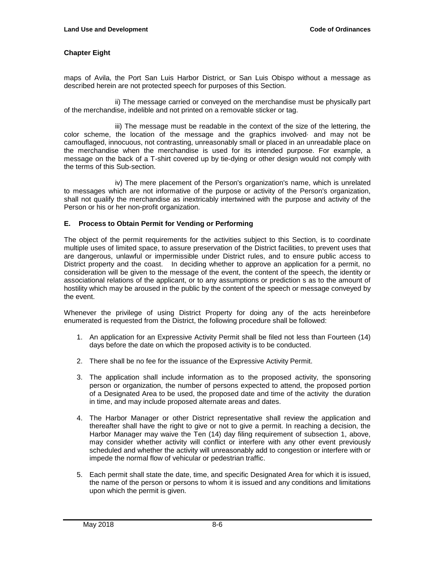maps of Avila, the Port San Luis Harbor District, or San Luis Obispo without a message as described herein are not protected speech for purposes of this Section.

ii) The message carried or conveyed on the merchandise must be physically part of the merchandise, indelible and not printed on a removable sticker or tag.

iii) The message must be readable in the context of the size of the lettering, the color scheme, the location of the message and the graphics involved· and may not be camouflaged, innocuous, not contrasting, unreasonably small or placed in an unreadable place on the merchandise when the merchandise is used for its intended purpose. For example, a message on the back of a T-shirt covered up by tie-dying or other design would not comply with the terms of this Sub-section.

iv) The mere placement of the Person's organization's name, which is unrelated to messages which are not informative of the purpose or activity of the Person's organization, shall not qualify the merchandise as inextricably intertwined with the purpose and activity of the Person or his or her non-profit organization.

#### **E. Process to Obtain Permit for Vending or Performing**

The object of the permit requirements for the activities subject to this Section, is to coordinate multiple uses of limited space, to assure preservation of the District facilities, to prevent uses that are dangerous, unlawful or impermissible under District rules, and to ensure public access to District property and the coast. In deciding whether to approve an application for a permit, no consideration will be given to the message of the event, the content of the speech, the identity or associational relations of the applicant, or to any assumptions or prediction s as to the amount of hostility which may be aroused in the public by the content of the speech or message conveyed by the event.

Whenever the privilege of using District Property for doing any of the acts hereinbefore enumerated is requested from the District, the following procedure shall be followed:

- 1. An application for an Expressive Activity Permit shall be filed not less than Fourteen (14) days before the date on which the proposed activity is to be conducted.
- 2. There shall be no fee for the issuance of the Expressive Activity Permit.
- 3. The application shall include information as to the proposed activity, the sponsoring person or organization, the number of persons expected to attend, the proposed portion of a Designated Area to be used, the proposed date and time of the activity the duration in time, and may include proposed alternate areas and dates.
- 4. The Harbor Manager or other District representative shall review the application and thereafter shall have the right to give or not to give a permit. In reaching a decision, the Harbor Manager may waive the Ten (14) day filing requirement of subsection 1, above, may consider whether activity will conflict or interfere with any other event previously scheduled and whether the activity will unreasonably add to congestion or interfere with or impede the normal flow of vehicular or pedestrian traffic.
- 5. Each permit shall state the date, time, and specific Designated Area for which it is issued, the name of the person or persons to whom it is issued and any conditions and limitations upon which the permit is given.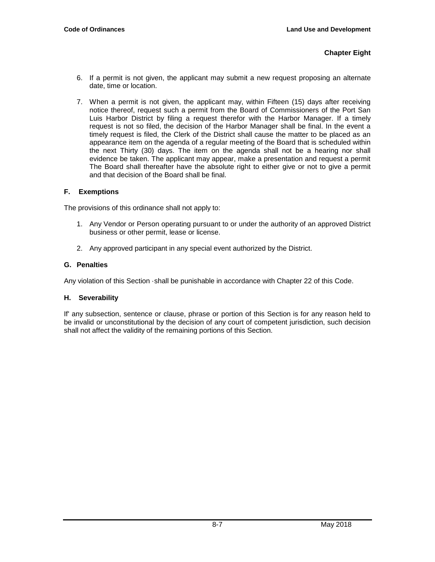- 6. If a permit is not given, the applicant may submit a new request proposing an alternate date, time or location.
- 7. When a permit is not given, the applicant may, within Fifteen (15) days after receiving notice thereof, request such a permit from the Board of Commissioners of the Port San Luis Harbor District by filing a request therefor with the Harbor Manager. If a timely request is not so filed, the decision of the Harbor Manager shall be final. In the event a timely request is filed, the Clerk of the District shall cause the matter to be placed as an appearance item on the agenda of a regular meeting of the Board that is scheduled within the next Thirty (30) days. The item on the agenda shall not be a hearing nor shall evidence be taken. The applicant may appear, make a presentation and request a permit The Board shall thereafter have the absolute right to either give or not to give a permit and that decision of the Board shall be final.

# **F. Exemptions**

The provisions of this ordinance shall not apply to:

- 1. Any Vendor or Person operating pursuant to or under the authority of an approved District business or other permit, lease or license.
- 2. Any approved participant in any special event authorized by the District.

# **G. Penalties**

Any violation of this Section ·shall be punishable in accordance with Chapter 22 of this Code.

# **H. Severability**

If' any subsection, sentence or clause, phrase or portion of this Section is for any reason held to be invalid or unconstitutional by the decision of any court of competent jurisdiction, such decision shall not affect the validity of the remaining portions of this Section.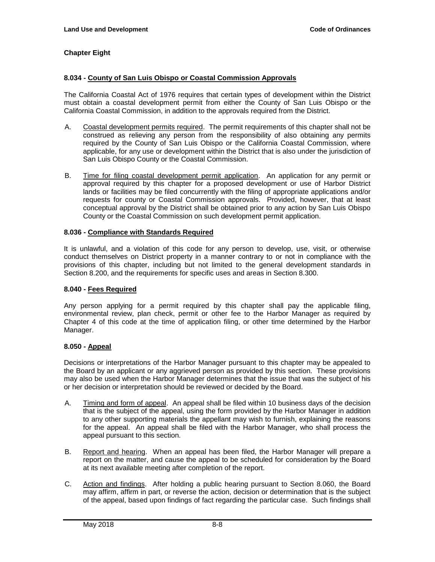### **8.034 - County of San Luis Obispo or Coastal Commission Approvals**

The California Coastal Act of 1976 requires that certain types of development within the District must obtain a coastal development permit from either the County of San Luis Obispo or the California Coastal Commission, in addition to the approvals required from the District.

- A. Coastal development permits required. The permit requirements of this chapter shall not be construed as relieving any person from the responsibility of also obtaining any permits required by the County of San Luis Obispo or the California Coastal Commission, where applicable, for any use or development within the District that is also under the jurisdiction of San Luis Obispo County or the Coastal Commission.
- B. Time for filing coastal development permit application. An application for any permit or approval required by this chapter for a proposed development or use of Harbor District lands or facilities may be filed concurrently with the filing of appropriate applications and/or requests for county or Coastal Commission approvals. Provided, however, that at least conceptual approval by the District shall be obtained prior to any action by San Luis Obispo County or the Coastal Commission on such development permit application.

#### **8.036 - Compliance with Standards Required**

It is unlawful, and a violation of this code for any person to develop, use, visit, or otherwise conduct themselves on District property in a manner contrary to or not in compliance with the provisions of this chapter, including but not limited to the general development standards in Section 8.200, and the requirements for specific uses and areas in Section 8.300.

#### **8.040 - Fees Required**

Any person applying for a permit required by this chapter shall pay the applicable filing, environmental review, plan check, permit or other fee to the Harbor Manager as required by Chapter 4 of this code at the time of application filing, or other time determined by the Harbor Manager.

# **8.050 - Appeal**

Decisions or interpretations of the Harbor Manager pursuant to this chapter may be appealed to the Board by an applicant or any aggrieved person as provided by this section. These provisions may also be used when the Harbor Manager determines that the issue that was the subject of his or her decision or interpretation should be reviewed or decided by the Board.

- A. Timing and form of appeal. An appeal shall be filed within 10 business days of the decision that is the subject of the appeal, using the form provided by the Harbor Manager in addition to any other supporting materials the appellant may wish to furnish, explaining the reasons for the appeal. An appeal shall be filed with the Harbor Manager, who shall process the appeal pursuant to this section.
- B. Report and hearing. When an appeal has been filed, the Harbor Manager will prepare a report on the matter, and cause the appeal to be scheduled for consideration by the Board at its next available meeting after completion of the report.
- C. Action and findings. After holding a public hearing pursuant to Section 8.060, the Board may affirm, affirm in part, or reverse the action, decision or determination that is the subject of the appeal, based upon findings of fact regarding the particular case. Such findings shall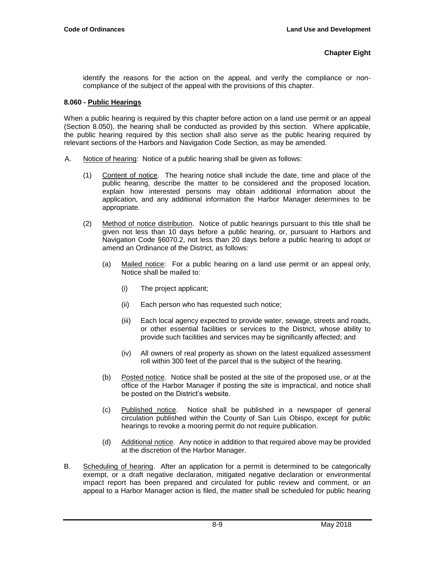identify the reasons for the action on the appeal, and verify the compliance or noncompliance of the subject of the appeal with the provisions of this chapter.

#### **8.060 - Public Hearings**

When a public hearing is required by this chapter before action on a land use permit or an appeal (Section 8.050), the hearing shall be conducted as provided by this section. Where applicable, the public hearing required by this section shall also serve as the public hearing required by relevant sections of the Harbors and Navigation Code Section, as may be amended.

- A. Notice of hearing: Notice of a public hearing shall be given as follows:
	- (1) Content of notice. The hearing notice shall include the date, time and place of the public hearing, describe the matter to be considered and the proposed location, explain how interested persons may obtain additional information about the application, and any additional information the Harbor Manager determines to be appropriate.
	- (2) Method of notice distribution. Notice of public hearings pursuant to this title shall be given not less than 10 days before a public hearing, or, pursuant to Harbors and Navigation Code §6070.2, not less than 20 days before a public hearing to adopt or amend an Ordinance of the District, as follows:
		- (a) Mailed notice: For a public hearing on a land use permit or an appeal only, Notice shall be mailed to:
			- (i) The project applicant;
			- (ii) Each person who has requested such notice;
			- (iii) Each local agency expected to provide water, sewage, streets and roads, or other essential facilities or services to the District, whose ability to provide such facilities and services may be significantly affected; and
			- (iv) All owners of real property as shown on the latest equalized assessment roll within 300 feet of the parcel that is the subject of the hearing.
		- (b) Posted notice. Notice shall be posted at the site of the proposed use, or at the office of the Harbor Manager if posting the site is impractical, and notice shall be posted on the District's website.
		- (c) Published notice. Notice shall be published in a newspaper of general circulation published within the County of San Luis Obispo, except for public hearings to revoke a mooring permit do not require publication.
		- (d) Additional notice. Any notice in addition to that required above may be provided at the discretion of the Harbor Manager.
- B. Scheduling of hearing. After an application for a permit is determined to be categorically exempt, or a draft negative declaration, mitigated negative declaration or environmental impact report has been prepared and circulated for public review and comment, or an appeal to a Harbor Manager action is filed, the matter shall be scheduled for public hearing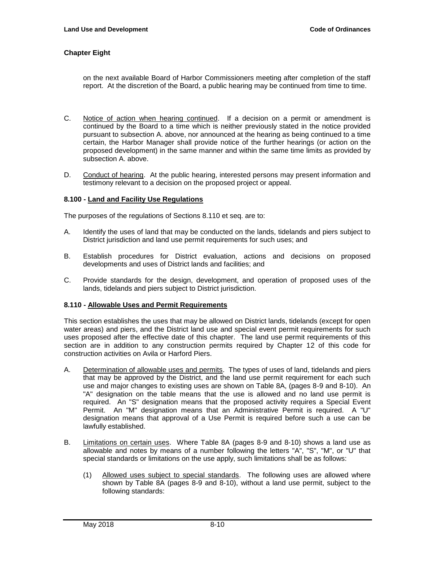on the next available Board of Harbor Commissioners meeting after completion of the staff report. At the discretion of the Board, a public hearing may be continued from time to time.

- C. Notice of action when hearing continued. If a decision on a permit or amendment is continued by the Board to a time which is neither previously stated in the notice provided pursuant to subsection A. above, nor announced at the hearing as being continued to a time certain, the Harbor Manager shall provide notice of the further hearings (or action on the proposed development) in the same manner and within the same time limits as provided by subsection A. above.
- D. Conduct of hearing. At the public hearing, interested persons may present information and testimony relevant to a decision on the proposed project or appeal.

#### **8.100 - Land and Facility Use Regulations**

The purposes of the regulations of Sections 8.110 et seq. are to:

- A. Identify the uses of land that may be conducted on the lands, tidelands and piers subject to District jurisdiction and land use permit requirements for such uses; and
- B. Establish procedures for District evaluation, actions and decisions on proposed developments and uses of District lands and facilities; and
- C. Provide standards for the design, development, and operation of proposed uses of the lands, tidelands and piers subject to District jurisdiction.

#### **8.110 - Allowable Uses and Permit Requirements**

This section establishes the uses that may be allowed on District lands, tidelands (except for open water areas) and piers, and the District land use and special event permit requirements for such uses proposed after the effective date of this chapter. The land use permit requirements of this section are in addition to any construction permits required by Chapter 12 of this code for construction activities on Avila or Harford Piers.

- A. Determination of allowable uses and permits. The types of uses of land, tidelands and piers that may be approved by the District, and the land use permit requirement for each such use and major changes to existing uses are shown on Table 8A, (pages 8-9 and 8-10). An "A" designation on the table means that the use is allowed and no land use permit is required. An "S" designation means that the proposed activity requires a Special Event Permit. An "M" designation means that an Administrative Permit is required. A "U" designation means that approval of a Use Permit is required before such a use can be lawfully established.
- B. Limitations on certain uses. Where Table 8A (pages 8-9 and 8-10) shows a land use as allowable and notes by means of a number following the letters "A", "S", "M", or "U" that special standards or limitations on the use apply, such limitations shall be as follows:
	- (1) Allowed uses subject to special standards. The following uses are allowed where shown by Table 8A (pages 8-9 and 8-10), without a land use permit, subject to the following standards: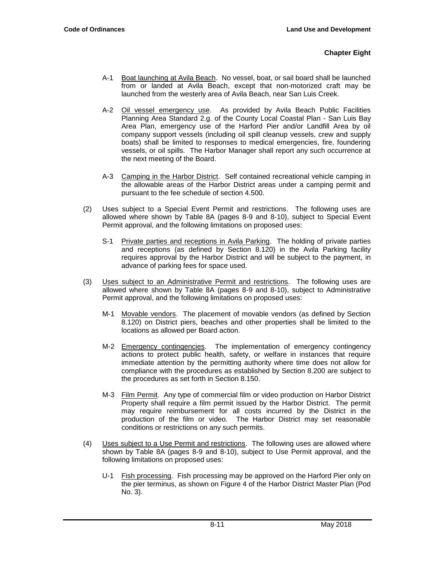- A-1 Boat launching at Avila Beach. No vessel, boat, or sail board shall be launched from or landed at Avila Beach, except that non-motorized craft may be launched from the westerly area of Avila Beach, near San Luis Creek.
- A-2 Oil vessel emergency use. As provided by Avila Beach Public Facilities Planning Area Standard 2.g. of the County Local Coastal Plan - San Luis Bay Area Plan, emergency use of the Harford Pier and/or Landfill Area by oil company support vessels (including oil spill cleanup vessels, crew and supply boats) shall be limited to responses to medical emergencies, fire, foundering vessels, or oil spills. The Harbor Manager shall report any such occurrence at the next meeting of the Board.
- A-3 Camping in the Harbor District. Self contained recreational vehicle camping in the allowable areas of the Harbor District areas under a camping permit and pursuant to the fee schedule of section 4.500.
- (2) Uses subject to a Special Event Permit and restrictions. The following uses are allowed where shown by Table 8A (pages 8-9 and 8-10), subject to Special Event Permit approval, and the following limitations on proposed uses:
	- S-1 Private parties and receptions in Avila Parking. The holding of private parties and receptions (as defined by Section 8.120) in the Avila Parking facility requires approval by the Harbor District and will be subject to the payment, in advance of parking fees for space used.
- (3) Uses subject to an Administrative Permit and restrictions. The following uses are allowed where shown by Table 8A (pages 8-9 and 8-10), subject to Administrative Permit approval, and the following limitations on proposed uses:
	- M-1 Movable vendors. The placement of movable vendors (as defined by Section 8.120) on District piers, beaches and other properties shall be limited to the locations as allowed per Board action.
	- M-2 Emergency contingencies. The implementation of emergency contingency actions to protect public health, safety, or welfare in instances that require immediate attention by the permitting authority where time does not allow for compliance with the procedures as established by Section 8.200 are subject to the procedures as set forth in Section 8.150.
	- M-3 Film Permit. Any type of commercial film or video production on Harbor District Property shall require a film permit issued by the Harbor District. The permit may require reimbursement for all costs incurred by the District in the production of the film or video. The Harbor District may set reasonable conditions or restrictions on any such permits.
- (4) Uses subject to a Use Permit and restrictions. The following uses are allowed where shown by Table 8A (pages 8-9 and 8-10), subject to Use Permit approval, and the following limitations on proposed uses:
	- U-1 Fish processing. Fish processing may be approved on the Harford Pier only on the pier terminus, as shown on Figure 4 of the Harbor District Master Plan (Pod No. 3).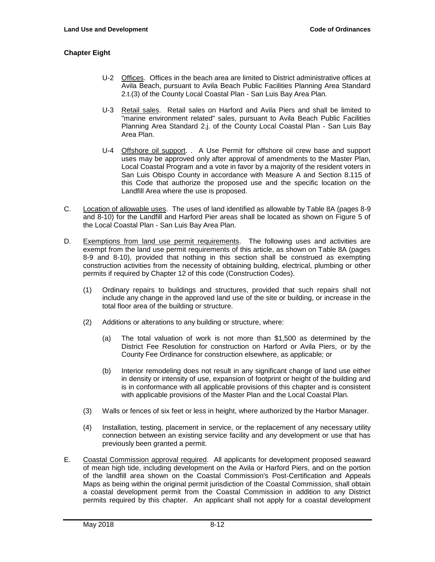- U-2 Offices. Offices in the beach area are limited to District administrative offices at Avila Beach, pursuant to Avila Beach Public Facilities Planning Area Standard 2.t.(3) of the County Local Coastal Plan - San Luis Bay Area Plan.
- U-3 Retail sales. Retail sales on Harford and Avila Piers and shall be limited to "marine environment related" sales, pursuant to Avila Beach Public Facilities Planning Area Standard 2.j. of the County Local Coastal Plan - San Luis Bay Area Plan.
- U-4 Offshore oil support. . A Use Permit for offshore oil crew base and support uses may be approved only after approval of amendments to the Master Plan, Local Coastal Program and a vote in favor by a majority of the resident voters in San Luis Obispo County in accordance with Measure A and Section 8.115 of this Code that authorize the proposed use and the specific location on the Landfill Area where the use is proposed.
- C. Location of allowable uses. The uses of land identified as allowable by Table 8A (pages 8-9 and 8-10) for the Landfill and Harford Pier areas shall be located as shown on Figure 5 of the Local Coastal Plan - San Luis Bay Area Plan.
- D. Exemptions from land use permit requirements. The following uses and activities are exempt from the land use permit requirements of this article, as shown on Table 8A (pages 8-9 and 8-10), provided that nothing in this section shall be construed as exempting construction activities from the necessity of obtaining building, electrical, plumbing or other permits if required by Chapter 12 of this code (Construction Codes).
	- (1) Ordinary repairs to buildings and structures, provided that such repairs shall not include any change in the approved land use of the site or building, or increase in the total floor area of the building or structure.
	- (2) Additions or alterations to any building or structure, where:
		- (a) The total valuation of work is not more than \$1,500 as determined by the District Fee Resolution for construction on Harford or Avila Piers, or by the County Fee Ordinance for construction elsewhere, as applicable; or
		- (b) Interior remodeling does not result in any significant change of land use either in density or intensity of use, expansion of footprint or height of the building and is in conformance with all applicable provisions of this chapter and is consistent with applicable provisions of the Master Plan and the Local Coastal Plan.
	- (3) Walls or fences of six feet or less in height, where authorized by the Harbor Manager.
	- (4) Installation, testing, placement in service, or the replacement of any necessary utility connection between an existing service facility and any development or use that has previously been granted a permit.
- E. Coastal Commission approval required. All applicants for development proposed seaward of mean high tide, including development on the Avila or Harford Piers, and on the portion of the landfill area shown on the Coastal Commission's Post-Certification and Appeals Maps as being within the original permit jurisdiction of the Coastal Commission, shall obtain a coastal development permit from the Coastal Commission in addition to any District permits required by this chapter. An applicant shall not apply for a coastal development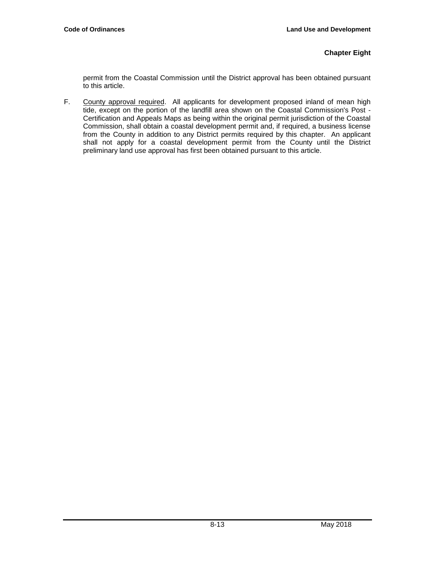permit from the Coastal Commission until the District approval has been obtained pursuant to this article.

F. County approval required. All applicants for development proposed inland of mean high tide, except on the portion of the landfill area shown on the Coastal Commission's Post - Certification and Appeals Maps as being within the original permit jurisdiction of the Coastal Commission, shall obtain a coastal development permit and, if required, a business license from the County in addition to any District permits required by this chapter. An applicant shall not apply for a coastal development permit from the County until the District preliminary land use approval has first been obtained pursuant to this article.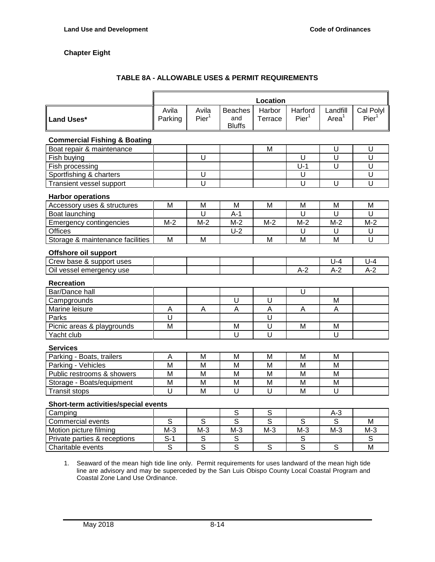# **TABLE 8A - ALLOWABLE USES & PERMIT REQUIREMENTS**

|                                         | Location                |                            |                                        |                   |                              |                               |                                |
|-----------------------------------------|-------------------------|----------------------------|----------------------------------------|-------------------|------------------------------|-------------------------------|--------------------------------|
| Land Uses*                              | Avila<br>Parking        | Avila<br>Pier <sup>1</sup> | <b>Beaches</b><br>and<br><b>Bluffs</b> | Harbor<br>Terrace | Harford<br>Pier <sup>1</sup> | Landfill<br>Area <sup>1</sup> | Cal Polyl<br>Pier <sup>1</sup> |
| <b>Commercial Fishing &amp; Boating</b> |                         |                            |                                        |                   |                              |                               |                                |
| Boat repair & maintenance               |                         |                            |                                        | М                 |                              | U                             | U                              |
| Fish buying                             |                         | U                          |                                        |                   | U                            | $\overline{\mathsf{U}}$       | $\overline{\mathsf{U}}$        |
| Fish processing                         |                         |                            |                                        |                   | $U-1$                        | U                             | U                              |
| Sportfishing & charters                 |                         | U                          |                                        |                   | U                            |                               | U                              |
| Transient vessel support                |                         | U                          |                                        |                   | U                            | U                             | U                              |
| <b>Harbor operations</b>                |                         |                            |                                        |                   |                              |                               |                                |
| Accessory uses & structures             | $\overline{M}$          | М                          | M                                      | М                 | М                            | М                             | М                              |
| <b>Boat launching</b>                   |                         | $\overline{U}$             | $A-1$                                  |                   | $\overline{U}$               | $\overline{\mathsf{U}}$       | U                              |
| <b>Emergency contingencies</b>          | $M-2$                   | $M-2$                      | $M-2$                                  | $M-2$             | $M-2$                        | $M-2$                         | $M-2$                          |
| <b>Offices</b>                          |                         |                            | $U-2$                                  |                   | U                            | U                             | U                              |
| Storage & maintenance facilities        | M                       | M                          |                                        | М                 | M                            | M                             | U                              |
| <b>Offshore oil support</b>             |                         |                            |                                        |                   |                              |                               |                                |
| Crew base & support uses                |                         |                            |                                        |                   |                              | $U-4$                         | $U-4$                          |
| Oil vessel emergency use                |                         |                            |                                        |                   | $A-2$                        | $A-2$                         | $A-2$                          |
| <b>Recreation</b>                       |                         |                            |                                        |                   |                              |                               |                                |
| Bar/Dance hall                          |                         |                            |                                        |                   | U                            |                               |                                |
| Campgrounds                             |                         |                            | U                                      | U                 |                              | M                             |                                |
| Marine leisure                          | A                       | Α                          | Α                                      | $\overline{A}$    | A                            | Α                             |                                |
| Parks                                   | U                       |                            |                                        | U                 |                              |                               |                                |
| Picnic areas & playgrounds              | $\overline{M}$          |                            | M                                      | $\overline{U}$    | M                            | M                             |                                |
| Yacht club                              |                         |                            | $\mathsf{U}$                           | Ū                 |                              | Ū                             |                                |
| <b>Services</b>                         |                         |                            |                                        |                   |                              |                               |                                |
| Parking - Boats, trailers               | A                       | М                          | M                                      | M                 | М                            | м                             |                                |
| Parking - Vehicles                      | M                       | M                          | M                                      | M                 | M                            | M                             |                                |
| Public restrooms & showers              | M                       | M                          | M                                      | M                 | M                            | M                             |                                |
| Storage - Boats/equipment               | M                       | M                          | M                                      | M                 | M                            | M                             |                                |
| <b>Transit stops</b>                    | U                       | M                          | U                                      | U                 | M                            | U                             |                                |
| Short-term activities/special events    |                         |                            |                                        |                   |                              |                               |                                |
| Camping                                 |                         |                            | $\mathsf S$                            | $\mathsf S$       |                              | $A-3$                         |                                |
| Commercial events                       | $\overline{s}$          | S                          | $\overline{s}$                         | $\overline{s}$    | $\overline{s}$               | $\overline{s}$                | M                              |
| Motion picture filming                  | $M-3$                   | $M-3$                      | $M-3$                                  | $M-3$             | $M-3$                        | $\overline{M-3}$              | $M-3$                          |
| Private parties & receptions            | $S-1$                   | S                          | $\mathbb S$                            |                   | S                            |                               | S                              |
| Charitable events                       | $\overline{\mathsf{s}}$ | $\overline{\mathsf{s}}$    | $\overline{s}$                         | $\overline{s}$    | $\overline{s}$               | $\overline{s}$                | M                              |

1. Seaward of the mean high tide line only. Permit requirements for uses landward of the mean high tide line are advisory and may be superceded by the San Luis Obispo County Local Coastal Program and Coastal Zone Land Use Ordinance.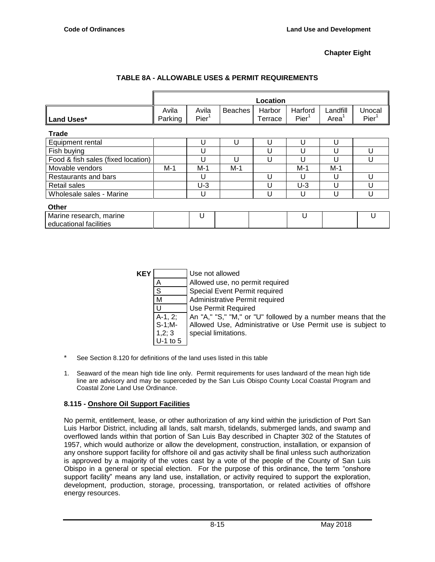# **TABLE 8A - ALLOWABLE USES & PERMIT REQUIREMENTS**

|                                    |                  |                            |                | Location          |                              |                   |                             |
|------------------------------------|------------------|----------------------------|----------------|-------------------|------------------------------|-------------------|-----------------------------|
|                                    | Avila<br>Parking | Avila<br>Pier <sup>1</sup> | <b>Beaches</b> | Harbor<br>Terrace | Harford<br>Pier <sup>1</sup> | Landfill<br>Area' | Unocal<br>Pier <sup>1</sup> |
| Land Uses*                         |                  |                            |                |                   |                              |                   |                             |
| <b>Trade</b>                       |                  |                            |                |                   |                              |                   |                             |
| Equipment rental                   |                  | U                          | U              | ш                 | U                            | U                 |                             |
| Fish buying                        |                  | U                          |                |                   | U                            |                   |                             |
| Food & fish sales (fixed location) |                  | U                          | U              |                   | U                            |                   |                             |
| Movable vendors                    | $M-1$            | $M-1$                      | $M-1$          |                   | $M-1$                        | $M-1$             |                             |
| Restaurants and bars               |                  | U                          |                |                   | U                            |                   |                             |
| Retail sales                       |                  | $U-3$                      |                |                   | $U-3$                        |                   |                             |
| Wholesale sales - Marine           |                  | U                          |                |                   | U                            |                   |                             |
| Other                              |                  |                            |                |                   |                              |                   |                             |
| Marine research, marine            |                  | U                          |                |                   | U                            |                   | U                           |
| educational facilities             |                  |                            |                |                   |                              |                   |                             |

| <b>KEY</b> |            | Use not allowed                                              |
|------------|------------|--------------------------------------------------------------|
|            | Α          | Allowed use, no permit required                              |
|            | S          | Special Event Permit required                                |
|            | M          | Administrative Permit required                               |
|            |            | <b>Use Permit Required</b>                                   |
|            | $A-1, 2;$  | An "A," "S," "M," or "U" followed by a number means that the |
|            | $S-1;M-$   | Allowed Use, Administrative or Use Permit use is subject to  |
|            | 1,2;3      | special limitations.                                         |
|            | $U-1$ to 5 |                                                              |

- \* See Section 8.120 for definitions of the land uses listed in this table
- 1. Seaward of the mean high tide line only. Permit requirements for uses landward of the mean high tide line are advisory and may be superceded by the San Luis Obispo County Local Coastal Program and Coastal Zone Land Use Ordinance.

# **8.115 - Onshore Oil Support Facilities**

No permit, entitlement, lease, or other authorization of any kind within the jurisdiction of Port San Luis Harbor District, including all lands, salt marsh, tidelands, submerged lands, and swamp and overflowed lands within that portion of San Luis Bay described in Chapter 302 of the Statutes of 1957, which would authorize or allow the development, construction, installation, or expansion of any onshore support facility for offshore oil and gas activity shall be final unless such authorization is approved by a majority of the votes cast by a vote of the people of the County of San Luis Obispo in a general or special election. For the purpose of this ordinance, the term "onshore support facility" means any land use, installation, or activity required to support the exploration, development, production, storage, processing, transportation, or related activities of offshore energy resources.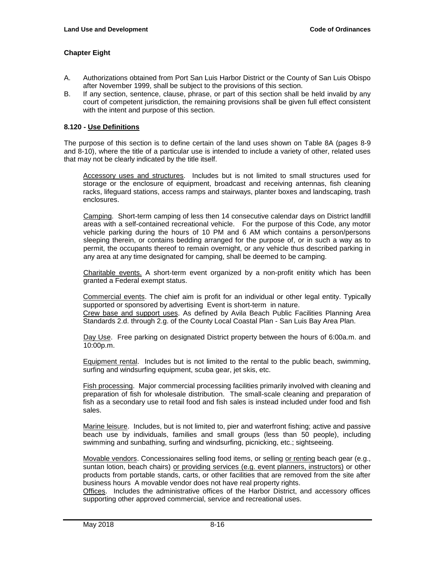- A. Authorizations obtained from Port San Luis Harbor District or the County of San Luis Obispo after November 1999, shall be subject to the provisions of this section.
- B. If any section, sentence, clause, phrase, or part of this section shall be held invalid by any court of competent jurisdiction, the remaining provisions shall be given full effect consistent with the intent and purpose of this section.

### **8.120 - Use Definitions**

The purpose of this section is to define certain of the land uses shown on Table 8A (pages 8-9 and 8-10), where the title of a particular use is intended to include a variety of other, related uses that may not be clearly indicated by the title itself.

Accessory uses and structures. Includes but is not limited to small structures used for storage or the enclosure of equipment, broadcast and receiving antennas, fish cleaning racks, lifeguard stations, access ramps and stairways, planter boxes and landscaping, trash enclosures.

Camping. Short-term camping of less then 14 consecutive calendar days on District landfill areas with a self-contained recreational vehicle. For the purpose of this Code, any motor vehicle parking during the hours of 10 PM and 6 AM which contains a person/persons sleeping therein, or contains bedding arranged for the purpose of, or in such a way as to permit, the occupants thereof to remain overnight, or any vehicle thus described parking in any area at any time designated for camping, shall be deemed to be camping.

Charitable events. A short-term event organized by a non-profit enitity which has been granted a Federal exempt status.

Commercial events. The chief aim is profit for an individual or other legal entity. Typically supported or sponsored by advertising Event is short-term in nature. Crew base and support uses. As defined by Avila Beach Public Facilities Planning Area Standards 2.d. through 2.g. of the County Local Coastal Plan - San Luis Bay Area Plan.

Day Use. Free parking on designated District property between the hours of 6:00a.m. and 10:00p.m.

Equipment rental. Includes but is not limited to the rental to the public beach, swimming, surfing and windsurfing equipment, scuba gear, jet skis, etc.

Fish processing. Major commercial processing facilities primarily involved with cleaning and preparation of fish for wholesale distribution. The small-scale cleaning and preparation of fish as a secondary use to retail food and fish sales is instead included under food and fish sales.

Marine leisure. Includes, but is not limited to, pier and waterfront fishing; active and passive beach use by individuals, families and small groups (less than 50 people), including swimming and sunbathing, surfing and windsurfing, picnicking, etc.; sightseeing.

Movable vendors. Concessionaires selling food items, or selling or renting beach gear (e.g., suntan lotion, beach chairs) or providing services (e.g. event planners, instructors) or other products from portable stands, carts, or other facilities that are removed from the site after business hours A movable vendor does not have real property rights.

Offices. Includes the administrative offices of the Harbor District, and accessory offices supporting other approved commercial, service and recreational uses.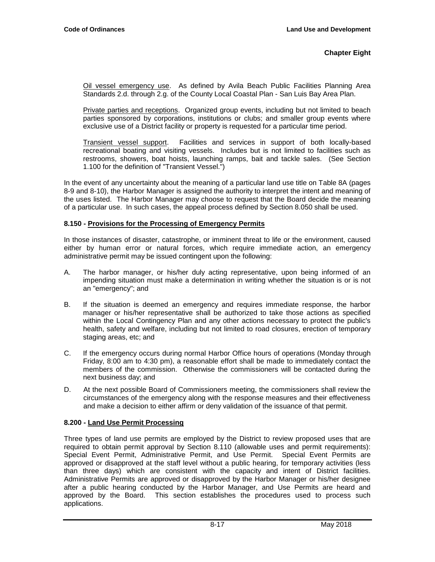Oil vessel emergency use. As defined by Avila Beach Public Facilities Planning Area Standards 2.d. through 2.g. of the County Local Coastal Plan - San Luis Bay Area Plan.

Private parties and receptions. Organized group events, including but not limited to beach parties sponsored by corporations, institutions or clubs; and smaller group events where exclusive use of a District facility or property is requested for a particular time period.

Transient vessel support. Facilities and services in support of both locally-based recreational boating and visiting vessels. Includes but is not limited to facilities such as restrooms, showers, boat hoists, launching ramps, bait and tackle sales. (See Section 1.100 for the definition of "Transient Vessel.")

In the event of any uncertainty about the meaning of a particular land use title on Table 8A (pages 8-9 and 8-10), the Harbor Manager is assigned the authority to interpret the intent and meaning of the uses listed. The Harbor Manager may choose to request that the Board decide the meaning of a particular use. In such cases, the appeal process defined by Section 8.050 shall be used.

# **8.150 - Provisions for the Processing of Emergency Permits**

In those instances of disaster, catastrophe, or imminent threat to life or the environment, caused either by human error or natural forces, which require immediate action, an emergency administrative permit may be issued contingent upon the following:

- A. The harbor manager, or his/her duly acting representative, upon being informed of an impending situation must make a determination in writing whether the situation is or is not an "emergency"; and
- B. If the situation is deemed an emergency and requires immediate response, the harbor manager or his/her representative shall be authorized to take those actions as specified within the Local Contingency Plan and any other actions necessary to protect the public's health, safety and welfare, including but not limited to road closures, erection of temporary staging areas, etc; and
- C. If the emergency occurs during normal Harbor Office hours of operations (Monday through Friday, 8:00 am to 4:30 pm), a reasonable effort shall be made to immediately contact the members of the commission. Otherwise the commissioners will be contacted during the next business day; and
- D. At the next possible Board of Commissioners meeting, the commissioners shall review the circumstances of the emergency along with the response measures and their effectiveness and make a decision to either affirm or deny validation of the issuance of that permit.

# **8.200 - Land Use Permit Processing**

Three types of land use permits are employed by the District to review proposed uses that are required to obtain permit approval by Section 8.110 (allowable uses and permit requirements): Special Event Permit, Administrative Permit, and Use Permit. Special Event Permits are approved or disapproved at the staff level without a public hearing, for temporary activities (less than three days) which are consistent with the capacity and intent of District facilities. Administrative Permits are approved or disapproved by the Harbor Manager or his/her designee after a public hearing conducted by the Harbor Manager, and Use Permits are heard and approved by the Board. This section establishes the procedures used to process such applications.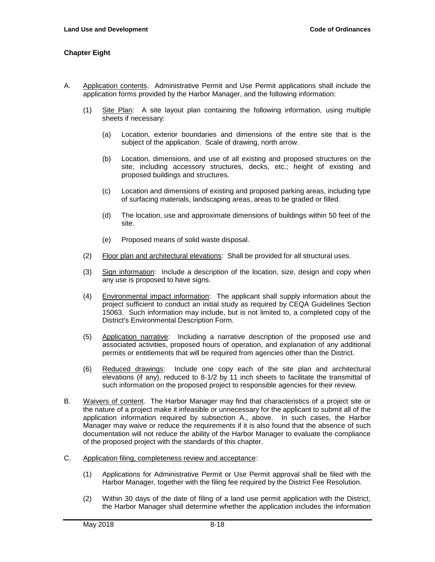- A. Application contents. Administrative Permit and Use Permit applications shall include the application forms provided by the Harbor Manager, and the following information:
	- (1) Site Plan: A site layout plan containing the following information, using multiple sheets if necessary:
		- (a) Location, exterior boundaries and dimensions of the entire site that is the subject of the application. Scale of drawing, north arrow.
		- (b) Location, dimensions, and use of all existing and proposed structures on the site, including accessory structures, decks, etc.; height of existing and proposed buildings and structures.
		- (c) Location and dimensions of existing and proposed parking areas, including type of surfacing materials, landscaping areas, areas to be graded or filled.
		- (d) The location, use and approximate dimensions of buildings within 50 feet of the site.
		- (e) Proposed means of solid waste disposal.
	- (2) Floor plan and architectural elevations: Shall be provided for all structural uses.
	- (3) Sign information: Include a description of the location, size, design and copy when any use is proposed to have signs.
	- (4) Environmental impact information: The applicant shall supply information about the project sufficient to conduct an initial study as required by CEQA Guidelines Section 15063. Such information may include, but is not limited to, a completed copy of the District's Environmental Description Form.
	- (5) Application narrative: Including a narrative description of the proposed use and associated activities, proposed hours of operation, and explanation of any additional permits or entitlements that will be required from agencies other than the District.
	- (6) Reduced drawings: Include one copy each of the site plan and architectural elevations (if any), reduced to 8-1/2 by 11 inch sheets to facilitate the transmittal of such information on the proposed project to responsible agencies for their review.
- B. Waivers of content. The Harbor Manager may find that characteristics of a project site or the nature of a project make it infeasible or unnecessary for the applicant to submit all of the application information required by subsection A., above. In such cases, the Harbor Manager may waive or reduce the requirements if it is also found that the absence of such documentation will not reduce the ability of the Harbor Manager to evaluate the compliance of the proposed project with the standards of this chapter.
- C. Application filing, completeness review and acceptance:
	- (1) Applications for Administrative Permit or Use Permit approval shall be filed with the Harbor Manager, together with the filing fee required by the District Fee Resolution.
	- (2) Within 30 days of the date of filing of a land use permit application with the District, the Harbor Manager shall determine whether the application includes the information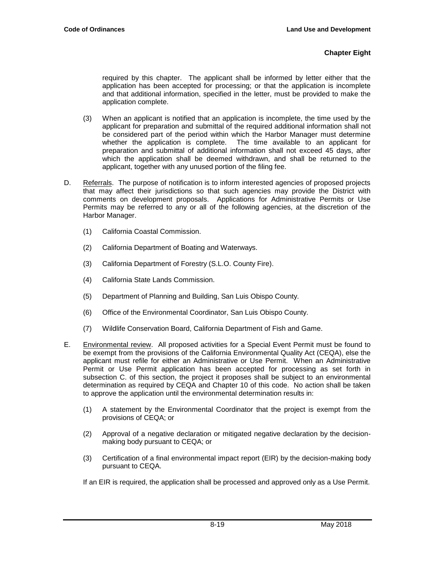required by this chapter. The applicant shall be informed by letter either that the application has been accepted for processing; or that the application is incomplete and that additional information, specified in the letter, must be provided to make the application complete.

- (3) When an applicant is notified that an application is incomplete, the time used by the applicant for preparation and submittal of the required additional information shall not be considered part of the period within which the Harbor Manager must determine whether the application is complete. The time available to an applicant for preparation and submittal of additional information shall not exceed 45 days, after which the application shall be deemed withdrawn, and shall be returned to the applicant, together with any unused portion of the filing fee.
- D. Referrals. The purpose of notification is to inform interested agencies of proposed projects that may affect their jurisdictions so that such agencies may provide the District with comments on development proposals. Applications for Administrative Permits or Use Permits may be referred to any or all of the following agencies, at the discretion of the Harbor Manager.
	- (1) California Coastal Commission.
	- (2) California Department of Boating and Waterways.
	- (3) California Department of Forestry (S.L.O. County Fire).
	- (4) California State Lands Commission.
	- (5) Department of Planning and Building, San Luis Obispo County.
	- (6) Office of the Environmental Coordinator, San Luis Obispo County.
	- (7) Wildlife Conservation Board, California Department of Fish and Game.
- E. Environmental review. All proposed activities for a Special Event Permit must be found to be exempt from the provisions of the California Environmental Quality Act (CEQA), else the applicant must refile for either an Administrative or Use Permit. When an Administrative Permit or Use Permit application has been accepted for processing as set forth in subsection C. of this section, the project it proposes shall be subject to an environmental determination as required by CEQA and Chapter 10 of this code. No action shall be taken to approve the application until the environmental determination results in:
	- (1) A statement by the Environmental Coordinator that the project is exempt from the provisions of CEQA; or
	- (2) Approval of a negative declaration or mitigated negative declaration by the decisionmaking body pursuant to CEQA; or
	- (3) Certification of a final environmental impact report (EIR) by the decision-making body pursuant to CEQA.

If an EIR is required, the application shall be processed and approved only as a Use Permit.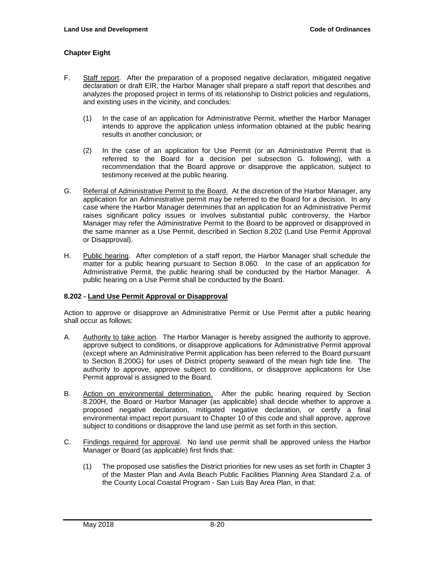- F. Staff report. After the preparation of a proposed negative declaration, mitigated negative declaration or draft EIR, the Harbor Manager shall prepare a staff report that describes and analyzes the proposed project in terms of its relationship to District policies and regulations, and existing uses in the vicinity, and concludes:
	- (1) In the case of an application for Administrative Permit, whether the Harbor Manager intends to approve the application unless information obtained at the public hearing results in another conclusion; or
	- (2) In the case of an application for Use Permit (or an Administrative Permit that is referred to the Board for a decision per subsection G. following), with a recommendation that the Board approve or disapprove the application, subject to testimony received at the public hearing.
- G. Referral of Administrative Permit to the Board. At the discretion of the Harbor Manager, any application for an Administrative permit may be referred to the Board for a decision. In any case where the Harbor Manager determines that an application for an Administrative Permit raises significant policy issues or involves substantial public controversy, the Harbor Manager may refer the Administrative Permit to the Board to be approved or disapproved in the same manner as a Use Permit, described in Section 8.202 (Land Use Permit Approval or Disapproval).
- H. Public hearing. After completion of a staff report, the Harbor Manager shall schedule the matter for a public hearing pursuant to Section 8.060. In the case of an application for Administrative Permit, the public hearing shall be conducted by the Harbor Manager. A public hearing on a Use Permit shall be conducted by the Board.

# **8.202 - Land Use Permit Approval or Disapproval**

Action to approve or disapprove an Administrative Permit or Use Permit after a public hearing shall occur as follows:

- A. Authority to take action. The Harbor Manager is hereby assigned the authority to approve, approve subject to conditions, or disapprove applications for Administrative Permit approval (except where an Administrative Permit application has been referred to the Board pursuant to Section 8.200G) for uses of District property seaward of the mean high tide line. The authority to approve, approve subject to conditions, or disapprove applications for Use Permit approval is assigned to the Board.
- B. Action on environmental determination. After the public hearing required by Section 8.200H, the Board or Harbor Manager (as applicable) shall decide whether to approve a proposed negative declaration, mitigated negative declaration, or certify a final environmental impact report pursuant to Chapter 10 of this code and shall approve, approve subject to conditions or disapprove the land use permit as set forth in this section.
- C. Findings required for approval. No land use permit shall be approved unless the Harbor Manager or Board (as applicable) first finds that:
	- (1) The proposed use satisfies the District priorities for new uses as set forth in Chapter 3 of the Master Plan and Avila Beach Public Facilities Planning Area Standard 2.a. of the County Local Coastal Program - San Luis Bay Area Plan, in that: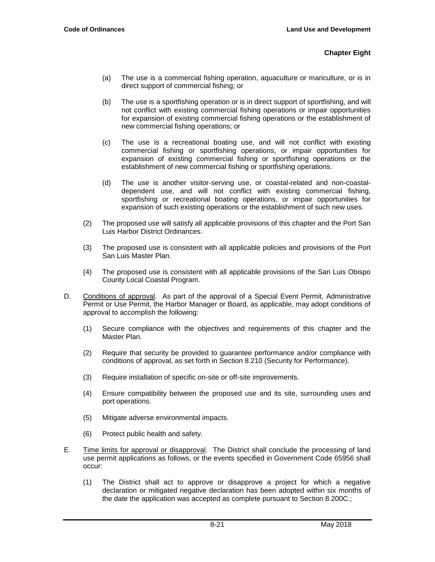- (a) The use is a commercial fishing operation, aquaculture or mariculture, or is in direct support of commercial fishing; or
- (b) The use is a sportfishing operation or is in direct support of sportfishing, and will not conflict with existing commercial fishing operations or impair opportunities for expansion of existing commercial fishing operations or the establishment of new commercial fishing operations; or
- (c) The use is a recreational boating use, and will not conflict with existing commercial fishing or sportfishing operations, or impair opportunities for expansion of existing commercial fishing or sportfishing operations or the establishment of new commercial fishing or sportfishing operations.
- (d) The use is another visitor-serving use, or coastal-related and non-coastaldependent use, and will not conflict with existing commercial fishing, sportfishing or recreational boating operations, or impair opportunities for expansion of such existing operations or the establishment of such new uses.
- (2) The proposed use will satisfy all applicable provisions of this chapter and the Port San Luis Harbor District Ordinances.
- (3) The proposed use is consistent with all applicable policies and provisions of the Port San Luis Master Plan.
- (4) The proposed use is consistent with all applicable provisions of the San Luis Obispo County Local Coastal Program.
- D. Conditions of approval. As part of the approval of a Special Event Permit, Administrative Permit or Use Permit, the Harbor Manager or Board, as applicable, may adopt conditions of approval to accomplish the following:
	- (1) Secure compliance with the objectives and requirements of this chapter and the Master Plan.
	- (2) Require that security be provided to guarantee performance and/or compliance with conditions of approval, as set forth in Section 8.210 (Security for Performance).
	- (3) Require installation of specific on-site or off-site improvements.
	- (4) Ensure compatibility between the proposed use and its site, surrounding uses and port operations.
	- (5) Mitigate adverse environmental impacts.
	- (6) Protect public health and safety.
- E. Time limits for approval or disapproval. The District shall conclude the processing of land use permit applications as follows, or the events specified in Government Code 65956 shall occur:
	- (1) The District shall act to approve or disapprove a project for which a negative declaration or mitigated negative declaration has been adopted within six months of the date the application was accepted as complete pursuant to Section 8.200C.;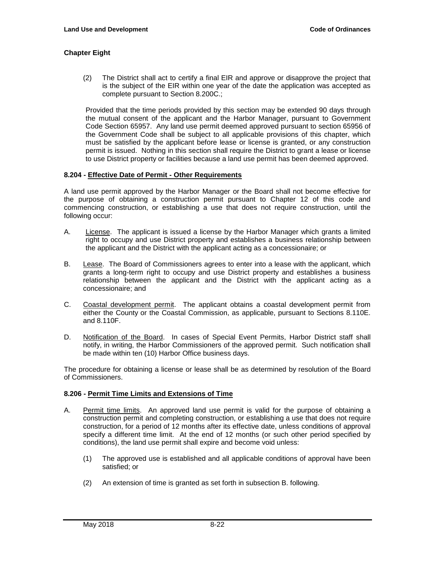(2) The District shall act to certify a final EIR and approve or disapprove the project that is the subject of the EIR within one year of the date the application was accepted as complete pursuant to Section 8.200C.;

Provided that the time periods provided by this section may be extended 90 days through the mutual consent of the applicant and the Harbor Manager, pursuant to Government Code Section 65957. Any land use permit deemed approved pursuant to section 65956 of the Government Code shall be subject to all applicable provisions of this chapter, which must be satisfied by the applicant before lease or license is granted, or any construction permit is issued. Nothing in this section shall require the District to grant a lease or license to use District property or facilities because a land use permit has been deemed approved.

### **8.204 - Effective Date of Permit - Other Requirements**

A land use permit approved by the Harbor Manager or the Board shall not become effective for the purpose of obtaining a construction permit pursuant to Chapter 12 of this code and commencing construction, or establishing a use that does not require construction, until the following occur:

- A. License. The applicant is issued a license by the Harbor Manager which grants a limited right to occupy and use District property and establishes a business relationship between the applicant and the District with the applicant acting as a concessionaire; or
- B. Lease. The Board of Commissioners agrees to enter into a lease with the applicant, which grants a long-term right to occupy and use District property and establishes a business relationship between the applicant and the District with the applicant acting as a concessionaire; and
- C. Coastal development permit. The applicant obtains a coastal development permit from either the County or the Coastal Commission, as applicable, pursuant to Sections 8.110E. and 8.110F.
- D. Notification of the Board. In cases of Special Event Permits, Harbor District staff shall notify, in writing, the Harbor Commissioners of the approved permit. Such notification shall be made within ten (10) Harbor Office business days.

The procedure for obtaining a license or lease shall be as determined by resolution of the Board of Commissioners.

#### **8.206 - Permit Time Limits and Extensions of Time**

- A. Permit time limits. An approved land use permit is valid for the purpose of obtaining a construction permit and completing construction, or establishing a use that does not require construction, for a period of 12 months after its effective date, unless conditions of approval specify a different time limit. At the end of 12 months (or such other period specified by conditions), the land use permit shall expire and become void unless:
	- (1) The approved use is established and all applicable conditions of approval have been satisfied; or
	- (2) An extension of time is granted as set forth in subsection B. following.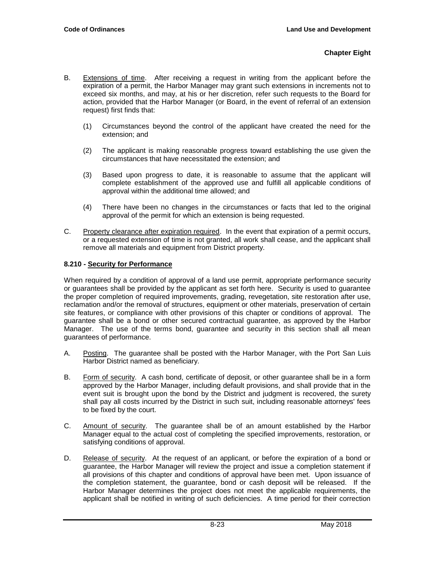- B. Extensions of time. After receiving a request in writing from the applicant before the expiration of a permit, the Harbor Manager may grant such extensions in increments not to exceed six months, and may, at his or her discretion, refer such requests to the Board for action, provided that the Harbor Manager (or Board, in the event of referral of an extension request) first finds that:
	- (1) Circumstances beyond the control of the applicant have created the need for the extension; and
	- (2) The applicant is making reasonable progress toward establishing the use given the circumstances that have necessitated the extension; and
	- (3) Based upon progress to date, it is reasonable to assume that the applicant will complete establishment of the approved use and fulfill all applicable conditions of approval within the additional time allowed; and
	- (4) There have been no changes in the circumstances or facts that led to the original approval of the permit for which an extension is being requested.
- C. Property clearance after expiration required. In the event that expiration of a permit occurs, or a requested extension of time is not granted, all work shall cease, and the applicant shall remove all materials and equipment from District property.

# **8.210 - Security for Performance**

When required by a condition of approval of a land use permit, appropriate performance security or guarantees shall be provided by the applicant as set forth here. Security is used to guarantee the proper completion of required improvements, grading, revegetation, site restoration after use, reclamation and/or the removal of structures, equipment or other materials, preservation of certain site features, or compliance with other provisions of this chapter or conditions of approval. The guarantee shall be a bond or other secured contractual guarantee, as approved by the Harbor Manager. The use of the terms bond, guarantee and security in this section shall all mean guarantees of performance.

- A. Posting. The guarantee shall be posted with the Harbor Manager, with the Port San Luis Harbor District named as beneficiary.
- B. Form of security. A cash bond, certificate of deposit, or other guarantee shall be in a form approved by the Harbor Manager, including default provisions, and shall provide that in the event suit is brought upon the bond by the District and judgment is recovered, the surety shall pay all costs incurred by the District in such suit, including reasonable attorneys' fees to be fixed by the court.
- C. Amount of security. The guarantee shall be of an amount established by the Harbor Manager equal to the actual cost of completing the specified improvements, restoration, or satisfying conditions of approval.
- D. Release of security. At the request of an applicant, or before the expiration of a bond or guarantee, the Harbor Manager will review the project and issue a completion statement if all provisions of this chapter and conditions of approval have been met. Upon issuance of the completion statement, the guarantee, bond or cash deposit will be released. If the Harbor Manager determines the project does not meet the applicable requirements, the applicant shall be notified in writing of such deficiencies. A time period for their correction